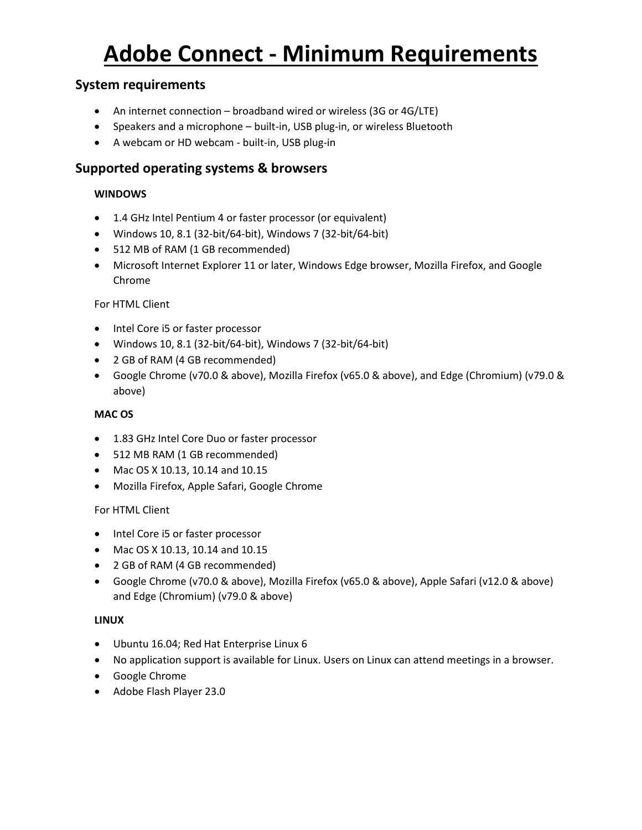# **Adobe Connect - Minimum Requirements**

## **System requirements**

- An internet connection broadband wired or wireless (3G or 4G/LTE)
- Speakers and a microphone built-in, USB plug-in, or wireless Bluetooth
- A webcam or HD webcam built-in, USB plug-in

### **Supported operating systems & browsers**

#### **WINDOWS**

- 1.4 GHz Intel Pentium 4 or faster processor (or equivalent)
- Windows 10, 8.1 (32-bit/64-bit), Windows 7 (32-bit/64-bit)
- 512 MB of RAM (1 GB recommended)
- Microsoft Internet Explorer 11 or later, Windows Edge browser, Mozilla Firefox, and Google Chrome

#### For HTML Client

- Intel Core i5 or faster processor
- Windows 10, 8.1 (32-bit/64-bit), Windows 7 (32-bit/64-bit)
- 2 GB of RAM (4 GB recommended)
- Google Chrome (v70.0 & above), Mozilla Firefox (v65.0 & above), and Edge (Chromium) (v79.0 & above)

#### **MAC OS**

- 1.83 GHz Intel Core Duo or faster processor
- 512 MB RAM (1 GB recommended)
- Mac OS X 10.13, 10.14 and 10.15
- Mozilla Firefox, Apple Safari, Google Chrome

#### For HTML Client

- Intel Core i5 or faster processor
- Mac OS X 10.13, 10.14 and 10.15
- 2 GB of RAM (4 GB recommended)
- Google Chrome (v70.0 & above), Mozilla Firefox (v65.0 & above), Apple Safari (v12.0 & above) and Edge (Chromium) (v79.0 & above)

#### **LINUX**

- Ubuntu 16.04; Red Hat Enterprise Linux 6
- No application support is available for Linux. Users on Linux can attend meetings in a browser.
- Google Chrome
- Adobe Flash Player 23.0